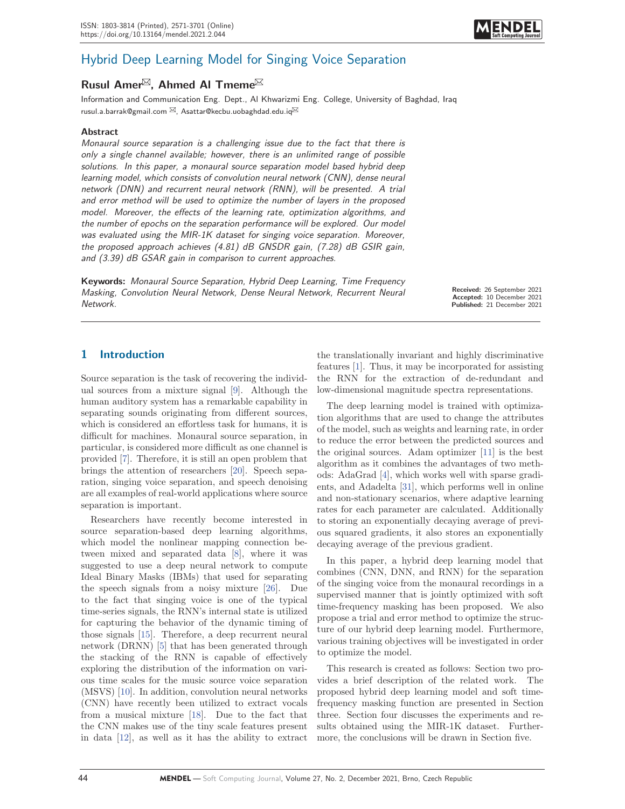

# Hybrid Deep Learning Model for Singing Voice Separation

# **Rusul Amer<sup>⊠</sup>, Ahmed Al Tmeme<sup>⊠</sup>**

Information and Communication Eng. Dept., Al Khwarizmi Eng. College, University of Baghdad, Iraq rusul.a.barrak@gmail.com  $\boxtimes$ , Asattar@kecbu.uobaghdad.edu.iq $\boxtimes$ 

### **Abstract**

Monaural source separation is a challenging issue due to the fact that there is only a single channel available; however, there is an unlimited range of possible solutions. In this paper, a monaural source separation model based hybrid deep learning model, which consists of convolution neural network (CNN), dense neural network (DNN) and recurrent neural network (RNN), will be presented. A trial and error method will be used to optimize the number of layers in the proposed model. Moreover, the effects of the learning rate, optimization algorithms, and the number of epochs on the separation performance will be explored. Our model was evaluated using the MIR-1K dataset for singing voice separation. Moreover, the proposed approach achieves (4.81) dB GNSDR gain, (7.28) dB GSIR gain, and (3.39) dB GSAR gain in comparison to current approaches.

**Keywords:** Monaural Source Separation, Hybrid Deep Learning, Time Frequency Masking, Convolution Neural Network, Dense Neural Network, Recurrent Neural Network.

**Received:** 26 September 2021 **Accepted:** 10 December 2021 **Published:** 21 December 2021

## **1 Introduction**

Source separation is the task of recovering the individual sources from a mixture signal [9]. Although the human auditory system has a remarkable capability in separating sounds originating from different sources, which is considered an effortless task for humans, it is difficult for machines. Monaural source separation, in particular, is considered more difficult as one channel is provided [7]. Therefore, it is still an open problem that brings the attention of researchers [20]. Speech separation, singing voice separation, and speech denoising are all examples of real-world applications where source separation is important.

Researchers have recently become interested in source separation-based deep learning algorithms, which model the nonlinear mapping connection between mixed and separated data [8], where it was suggested to use a deep neural network to compute Ideal Binary Masks (IBMs) that used for separating the speech signals from a noisy mixture [26]. Due to the fact that singing voice is one of the typical time-series signals, the RNN's internal state is utilized for capturing the behavior of the dynamic timing of those signals [15]. Therefore, a deep recurrent neural network (DRNN) [5] that has been generated through the stacking of the RNN is capable of effectively exploring the distribution of the information on various time scales for the music source voice separation (MSVS) [10]. In addition, convolution neural networks (CNN) have recently been utilized to extract vocals from a musical mixture [18]. Due to the fact that the CNN makes use of the tiny scale features present in data [12], as well as it has the ability to extract the translationally invariant and highly discriminative features [1]. Thus, it may be incorporated for assisting the RNN for the extraction of de-redundant and low-dimensional magnitude spectra representations.

The deep learning model is trained with optimization algorithms that are used to change the attributes of the model, such as weights and learning rate, in order to reduce the error between the predicted sources and the original sources. Adam optimizer [11] is the best algorithm as it combines the advantages of two methods: AdaGrad [4], which works well with sparse gradients, and Adadelta [31], which performs well in online and non-stationary scenarios, where adaptive learning rates for each parameter are calculated. Additionally to storing an exponentially decaying average of previous squared gradients, it also stores an exponentially decaying average of the previous gradient.

In this paper, a hybrid deep learning model that combines (CNN, DNN, and RNN) for the separation of the singing voice from the monaural recordings in a supervised manner that is jointly optimized with soft time-frequency masking has been proposed. We also propose a trial and error method to optimize the structure of our hybrid deep learning model. Furthermore, various training objectives will be investigated in order to optimize the model.

This research is created as follows: Section two provides a brief description of the related work. The proposed hybrid deep learning model and soft timefrequency masking function are presented in Section three. Section four discusses the experiments and results obtained using the MIR-1K dataset. Furthermore, the conclusions will be drawn in Section five.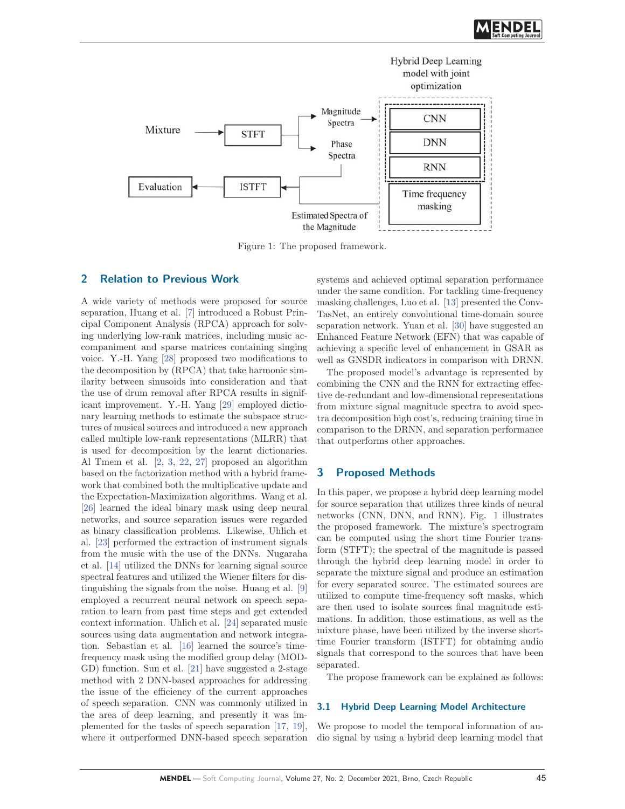

Figure 1: The proposed framework.

## **2 Relation to Previous Work**

A wide variety of methods were proposed for source separation, Huang et al. [7] introduced a Robust Principal Component Analysis (RPCA) approach for solving underlying low-rank matrices, including music accompaniment and sparse matrices containing singing voice. Y.-H. Yang [28] proposed two modifications to the decomposition by (RPCA) that take harmonic similarity between sinusoids into consideration and that the use of drum removal after RPCA results in significant improvement. Y.-H. Yang [29] employed dictionary learning methods to estimate the subspace structures of musical sources and introduced a new approach called multiple low-rank representations (MLRR) that is used for decomposition by the learnt dictionaries. Al Tmem et al. [2, 3, 22, 27] proposed an algorithm based on the factorization method with a hybrid framework that combined both the multiplicative update and the Expectation-Maximization algorithms. Wang et al. [26] learned the ideal binary mask using deep neural networks, and source separation issues were regarded as binary classification problems. Likewise, Uhlich et al. [23] performed the extraction of instrument signals from the music with the use of the DNNs. Nugaraha et al. [14] utilized the DNNs for learning signal source spectral features and utilized the Wiener filters for distinguishing the signals from the noise. Huang et al. [9] employed a recurrent neural network on speech separation to learn from past time steps and get extended context information. Uhlich et al. [24] separated music sources using data augmentation and network integration. Sebastian et al. [16] learned the source's timefrequency mask using the modified group delay (MOD-GD) function. Sun et al. [21] have suggested a 2-stage method with 2 DNN-based approaches for addressing the issue of the efficiency of the current approaches of speech separation. CNN was commonly utilized in the area of deep learning, and presently it was implemented for the tasks of speech separation [17, 19], where it outperformed DNN-based speech separation systems and achieved optimal separation performance under the same condition. For tackling time-frequency masking challenges, Luo et al. [13] presented the Conv-TasNet, an entirely convolutional time-domain source separation network. Yuan et al. [30] have suggested an Enhanced Feature Network (EFN) that was capable of achieving a specific level of enhancement in GSAR as well as GNSDR indicators in comparison with DRNN.

The proposed model's advantage is represented by combining the CNN and the RNN for extracting effective de-redundant and low-dimensional representations from mixture signal magnitude spectra to avoid spectra decomposition high cost's, reducing training time in comparison to the DRNN, and separation performance that outperforms other approaches.

## **3 Proposed Methods**

In this paper, we propose a hybrid deep learning model for source separation that utilizes three kinds of neural networks (CNN, DNN, and RNN). Fig. 1 illustrates the proposed framework. The mixture's spectrogram can be computed using the short time Fourier transform (STFT); the spectral of the magnitude is passed through the hybrid deep learning model in order to separate the mixture signal and produce an estimation for every separated source. The estimated sources are utilized to compute time-frequency soft masks, which are then used to isolate sources final magnitude estimations. In addition, those estimations, as well as the mixture phase, have been utilized by the inverse shorttime Fourier transform (ISTFT) for obtaining audio signals that correspond to the sources that have been separated.

The propose framework can be explained as follows:

#### **3.1 Hybrid Deep Learning Model Architecture**

We propose to model the temporal information of audio signal by using a hybrid deep learning model that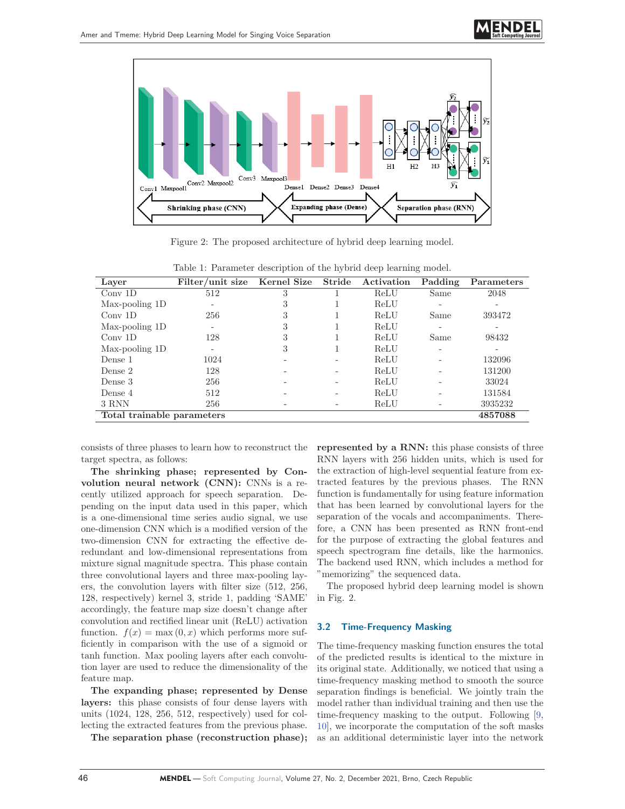



Figure 2: The proposed architecture of hybrid deep learning model.

| Laver                      | Filter/unit size         | Kernel Size | Stride | Activation | Padding | Parameters |
|----------------------------|--------------------------|-------------|--------|------------|---------|------------|
| $Conv$ 1D                  | 512                      | 3           |        | ReLU       | Same    | 2048       |
| Max-pooling 1D             | -                        | 3           |        | ReLU       |         |            |
| $Conv$ 1D                  | 256                      | 3           |        | ReLU       | Same    | 393472     |
| Max-pooling 1D             | $\overline{\phantom{a}}$ | 3           |        | ReLU       |         |            |
| $Conv$ 1D                  | 128                      | 3           |        | ReLU       | Same    | 98432      |
| Max-pooling 1D             | -                        | 3           |        | ReLU       |         |            |
| Dense 1                    | 1024                     |             |        | ReLU       |         | 132096     |
| Dense 2                    | 128                      |             |        | ReLU       |         | 131200     |
| Dense 3                    | 256                      |             |        | ReLU       |         | 33024      |
| Dense 4                    | 512                      |             |        | ReLU       |         | 131584     |
| 3 RNN                      | 256                      |             |        | ReLU       |         | 3935232    |
| Total trainable parameters |                          |             |        |            |         |            |

Table 1: Parameter description of the hybrid deep learning model.

consists of three phases to learn how to reconstruct the target spectra, as follows:

**The shrinking phase; represented by Convolution neural network (CNN):** CNNs is a recently utilized approach for speech separation. Depending on the input data used in this paper, which is a one-dimensional time series audio signal, we use one-dimension CNN which is a modified version of the two-dimension CNN for extracting the effective deredundant and low-dimensional representations from mixture signal magnitude spectra. This phase contain three convolutional layers and three max-pooling layers, the convolution layers with filter size (512, 256, 128, respectively) kernel 3, stride 1, padding 'SAME' accordingly, the feature map size doesn't change after convolution and rectified linear unit (ReLU) activation function.  $f(x) = \max(0, x)$  which performs more sufficiently in comparison with the use of a sigmoid or tanh function. Max pooling layers after each convolution layer are used to reduce the dimensionality of the feature map.

**The expanding phase; represented by Dense layers:** this phase consists of four dense layers with units (1024, 128, 256, 512, respectively) used for collecting the extracted features from the previous phase.

**The separation phase (reconstruction phase);**

**represented by a RNN:** this phase consists of three RNN layers with 256 hidden units, which is used for the extraction of high-level sequential feature from extracted features by the previous phases. The RNN function is fundamentally for using feature information that has been learned by convolutional layers for the separation of the vocals and accompaniments. Therefore, a CNN has been presented as RNN front-end for the purpose of extracting the global features and speech spectrogram fine details, like the harmonics. The backend used RNN, which includes a method for "memorizing" the sequenced data.

The proposed hybrid deep learning model is shown in Fig. 2.

#### **3.2 Time-Frequency Masking**

The time-frequency masking function ensures the total of the predicted results is identical to the mixture in its original state. Additionally, we noticed that using a time-frequency masking method to smooth the source separation findings is beneficial. We jointly train the model rather than individual training and then use the time-frequency masking to the output. Following [9, 10], we incorporate the computation of the soft masks as an additional deterministic layer into the network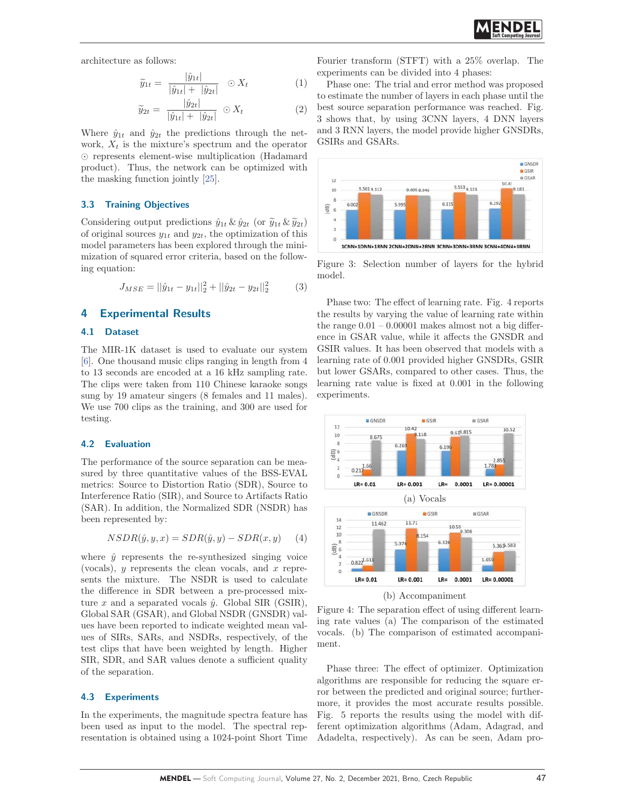architecture as follows:

$$
\tilde{y}_{1t} = \frac{|\hat{y}_{1t}|}{|\hat{y}_{1t}| + |\hat{y}_{2t}|} \quad \odot X_t \tag{1}
$$
\n
$$
\tilde{y}_{2t} = \frac{|\hat{y}_{2t}|}{|\hat{y}_{1t}| + |\hat{y}_{2t}|} \quad \odot X_t \tag{2}
$$

$$
\widetilde{y}_{2t} = \frac{|\hat{y}_{2t}|}{|\hat{y}_{1t}| + |\hat{y}_{2t}|} \odot X_t \tag{2}
$$

Where  $\hat{y}_{1t}$  and  $\hat{y}_{2t}$  the predictions through the network,  $X_t$  is the mixture's spectrum and the operator - represents element-wise multiplication (Hadamard product). Thus, the network can be optimized with the masking function jointly [25]. product). Thus, the network can be optimized with<br>the masking function jointly [25].<br> **3.3 Training Objectives**<br>
Considering output predictions  $\hat{y}_{1t} \& \hat{y}_{2t}$  (or  $\tilde{y}_{1t} \& \tilde{y}_{2t}$ )

#### **3.3 Training Objectives**

of original sources  $y_{1t}$  and  $y_{2t}$ , the optimization of this model parameters has been explored through the minimization of squared error criteria, based on the following equation:

$$
J_{MSE} = ||\hat{y}_{1t} - y_{1t}||_2^2 + ||\hat{y}_{2t} - y_{2t}||_2^2
$$
 (3)

## **4 Experimental Results**

#### **4.1 Dataset**

The MIR-1K dataset is used to evaluate our system [6]. One thousand music clips ranging in length from 4 to 13 seconds are encoded at a 16 kHz sampling rate. The clips were taken from 110 Chinese karaoke songs sung by 19 amateur singers (8 females and 11 males). We use 700 clips as the training, and 300 are used for testing.

#### **4.2 Evaluation**

The performance of the source separation can be measured by three quantitative values of the BSS-EVAL metrics: Source to Distortion Ratio (SDR), Source to Interference Ratio (SIR), and Source to Artifacts Ratio (SAR). In addition, the Normalized SDR (NSDR) has been represented by:

$$
NSDR(\hat{y}, y, x) = SDR(\hat{y}, y) - SDR(x, y) \tag{4}
$$

where  $\hat{y}$  represents the re-synthesized singing voice (vocals),  $y$  represents the clean vocals, and  $x$  represents the mixture. The NSDR is used to calculate the difference in SDR between a pre-processed mixture x and a separated vocals  $\hat{y}$ . Global SIR (GSIR), Global SAR (GSAR), and Global NSDR (GNSDR) values have been reported to indicate weighted mean values of SIRs, SARs, and NSDRs, respectively, of the test clips that have been weighted by length. Higher SIR, SDR, and SAR values denote a sufficient quality of the separation.

#### **4.3 Experiments**

In the experiments, the magnitude spectra feature has been used as input to the model. The spectral representation is obtained using a 1024-point Short Time Fourier transform (STFT) with a 25% overlap. The experiments can be divided into 4 phases:

Phase one: The trial and error method was proposed to estimate the number of layers in each phase until the best source separation performance was reached. Fig. 3 shows that, by using 3CNN layers, 4 DNN layers and 3 RNN layers, the model provide higher GNSDRs, GSIRs and GSARs.



Figure 3: Selection number of layers for the hybrid model.

Phase two: The effect of learning rate. Fig. 4 reports the results by varying the value of learning rate within the range  $0.01 - 0.00001$  makes almost not a big difference in GSAR value, while it affects the GNSDR and GSIR values. It has been observed that models with a learning rate of 0.001 provided higher GNSDRs, GSIR but lower GSARs, compared to other cases. Thus, the learning rate value is fixed at 0.001 in the following experiments.



(b) Accompaniment

Figure 4: The separation effect of using different learning rate values (a) The comparison of the estimated vocals. (b) The comparison of estimated accompaniment.

Phase three: The effect of optimizer. Optimization algorithms are responsible for reducing the square error between the predicted and original source; furthermore, it provides the most accurate results possible. Fig. 5 reports the results using the model with different optimization algorithms (Adam, Adagrad, and Adadelta, respectively). As can be seen, Adam pro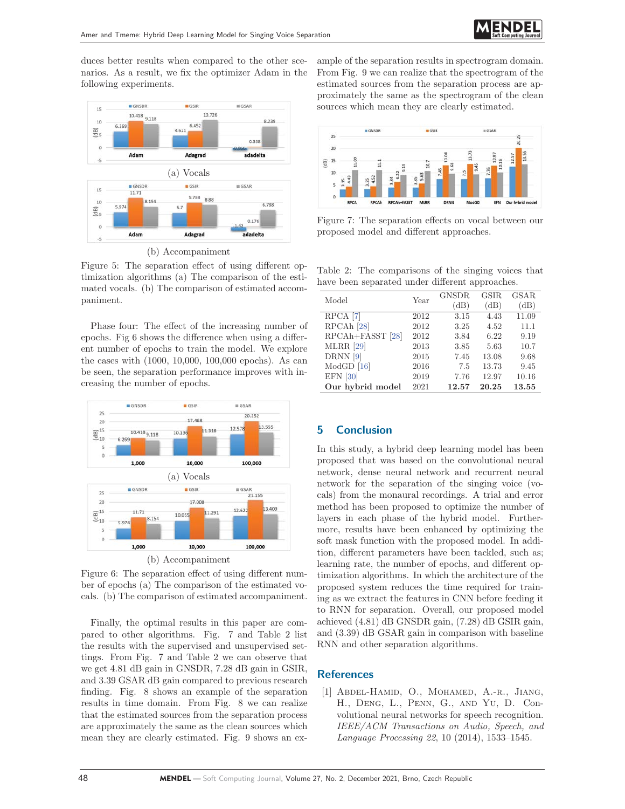duces better results when compared to the other scenarios. As a result, we fix the optimizer Adam in the following experiments.



(b) Accompaniment

Figure 5: The separation effect of using different optimization algorithms (a) The comparison of the estimated vocals. (b) The comparison of estimated accompaniment.

Phase four: The effect of the increasing number of epochs. Fig 6 shows the difference when using a different number of epochs to train the model. We explore the cases with (1000, 10,000, 100,000 epochs). As can be seen, the separation performance improves with increasing the number of epochs.



Figure 6: The separation effect of using different number of epochs (a) The comparison of the estimated vocals. (b) The comparison of estimated accompaniment.

Finally, the optimal results in this paper are compared to other algorithms. Fig. 7 and Table 2 list the results with the supervised and unsupervised settings. From Fig. 7 and Table 2 we can observe that we get 4.81 dB gain in GNSDR, 7.28 dB gain in GSIR, and 3.39 GSAR dB gain compared to previous research finding. Fig. 8 shows an example of the separation results in time domain. From Fig. 8 we can realize that the estimated sources from the separation process are approximately the same as the clean sources which mean they are clearly estimated. Fig. 9 shows an example of the separation results in spectrogram domain. From Fig. 9 we can realize that the spectrogram of the estimated sources from the separation process are approximately the same as the spectrogram of the clean sources which mean they are clearly estimated.



Figure 7: The separation effects on vocal between our proposed model and different approaches.

Table 2: The comparisons of the singing voices that have been separated under different approaches.

| Model                        | Year | <b>GNSDR</b> | <b>GSIR</b> | <b>GSAR</b> |  |  |
|------------------------------|------|--------------|-------------|-------------|--|--|
|                              |      | (dB)         | (dB)        | (dB)        |  |  |
| $\overline{\text{RPCA}}$ [7] | 2012 | 3.15         | 4.43        | 11.09       |  |  |
| RPCAh <sup>[28]</sup>        | 2012 | 3.25         | 4.52        | 11.1        |  |  |
| RPCAh+FASST [28]             | 2012 | 3.84         | 6.22        | 9.19        |  |  |
| <b>MLRR</b> [29]             | 2013 | 3.85         | 5.63        | 10.7        |  |  |
| DRNN[9]                      | 2015 | 7.45         | 13.08       | 9.68        |  |  |
| $ModGD$ [16]                 | 2016 | 7.5          | 13.73       | 9.45        |  |  |
| <b>EFN</b> [30]              | 2019 | 7.76         | 12.97       | 10.16       |  |  |
| Our hybrid model             | 2021 | 12.57        | 20.25       | 13.55       |  |  |
|                              |      |              |             |             |  |  |

# **5 Conclusion**

In this study, a hybrid deep learning model has been proposed that was based on the convolutional neural network, dense neural network and recurrent neural network for the separation of the singing voice (vocals) from the monaural recordings. A trial and error method has been proposed to optimize the number of layers in each phase of the hybrid model. Furthermore, results have been enhanced by optimizing the soft mask function with the proposed model. In addition, different parameters have been tackled, such as; learning rate, the number of epochs, and different optimization algorithms. In which the architecture of the proposed system reduces the time required for training as we extract the features in CNN before feeding it to RNN for separation. Overall, our proposed model achieved (4.81) dB GNSDR gain, (7.28) dB GSIR gain, and (3.39) dB GSAR gain in comparison with baseline RNN and other separation algorithms.

# **References**

[1] Abdel-Hamid, O., Mohamed, A.-r., Jiang, H., Deng, L., Penn, G., and Yu, D. Convolutional neural networks for speech recognition. IEEE/ACM Transactions on Audio, Speech, and Language Processing 22, 10 (2014), 1533–1545.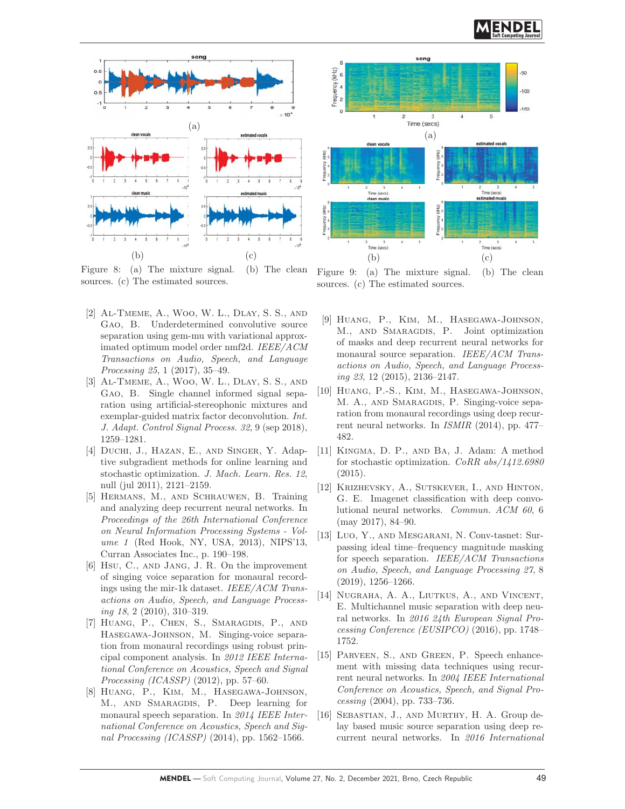

Figure 8: (a) The mixture signal. (b) The clean sources. (c) The estimated sources.

- [2] Al-Tmeme, A., Woo, W. L., Dlay, S. S., and Gao, B. Underdetermined convolutive source separation using gem-mu with variational approximated optimum model order nmf2d. IEEE/ACM Transactions on Audio, Speech, and Language Processing 25, 1 (2017), 35–49.
- [3] Al-Tmeme, A., Woo, W. L., Dlay, S. S., and Gao, B. Single channel informed signal separation using artificial-stereophonic mixtures and exemplar-guided matrix factor deconvolution. Int. J. Adapt. Control Signal Process. 32, 9 (sep 2018), 1259–1281.
- [4] DUCHI, J., HAZAN, E., AND SINGER, Y. Adaptive subgradient methods for online learning and stochastic optimization. J. Mach. Learn. Res. 12, null (jul 2011), 2121–2159.
- [5] Hermans, M., and Schrauwen, B. Training and analyzing deep recurrent neural networks. In Proceedings of the 26th International Conference on Neural Information Processing Systems - Volume 1 (Red Hook, NY, USA, 2013), NIPS'13, Curran Associates Inc., p. 190–198.
- [6] Hsu, C., and Jang, J. R. On the improvement of singing voice separation for monaural recordings using the mir-1k dataset. IEEE/ACM Transactions on Audio, Speech, and Language Processing 18, 2 (2010), 310–319.
- [7] Huang, P., Chen, S., Smaragdis, P., and Hasegawa-Johnson, M. Singing-voice separation from monaural recordings using robust principal component analysis. In 2012 IEEE International Conference on Acoustics, Speech and Signal Processing (ICASSP) (2012), pp. 57–60.
- [8] Huang, P., Kim, M., Hasegawa-Johnson, M., and Smaragdis, P. Deep learning for monaural speech separation. In 2014 IEEE International Conference on Acoustics, Speech and Signal Processing (ICASSP) (2014), pp. 1562–1566.



Figure 9: (a) The mixture signal. (b) The clean sources. (c) The estimated sources.

- [9] Huang, P., Kim, M., Hasegawa-Johnson, M., and Smaragdis, P. Joint optimization of masks and deep recurrent neural networks for monaural source separation. IEEE/ACM Transactions on Audio, Speech, and Language Processing 23, 12 (2015), 2136–2147.
- [10] Huang, P.-S., Kim, M., Hasegawa-Johnson, M. A., AND SMARAGDIS, P. Singing-voice separation from monaural recordings using deep recurrent neural networks. In ISMIR (2014), pp. 477– 482.
- [11] Kingma, D. P., and Ba, J. Adam: A method for stochastic optimization. CoRR abs/1412.6980 (2015).
- [12] Krizhevsky, A., Sutskever, I., and Hinton, G. E. Imagenet classification with deep convolutional neural networks. Commun. ACM 60, 6 (may 2017), 84–90.
- [13] Luo, Y., and Mesgarani, N. Conv-tasnet: Surpassing ideal time–frequency magnitude masking for speech separation. IEEE/ACM Transactions on Audio, Speech, and Language Processing 27, 8 (2019), 1256–1266.
- [14] Nugraha, A. A., Liutkus, A., and Vincent, E. Multichannel music separation with deep neural networks. In 2016 24th European Signal Processing Conference (EUSIPCO) (2016), pp. 1748– 1752.
- [15] Parveen, S., and Green, P. Speech enhancement with missing data techniques using recurrent neural networks. In 2004 IEEE International Conference on Acoustics, Speech, and Signal Processing (2004), pp. 733–736.
- [16] Sebastian, J., and Murthy, H. A. Group delay based music source separation using deep recurrent neural networks. In 2016 International